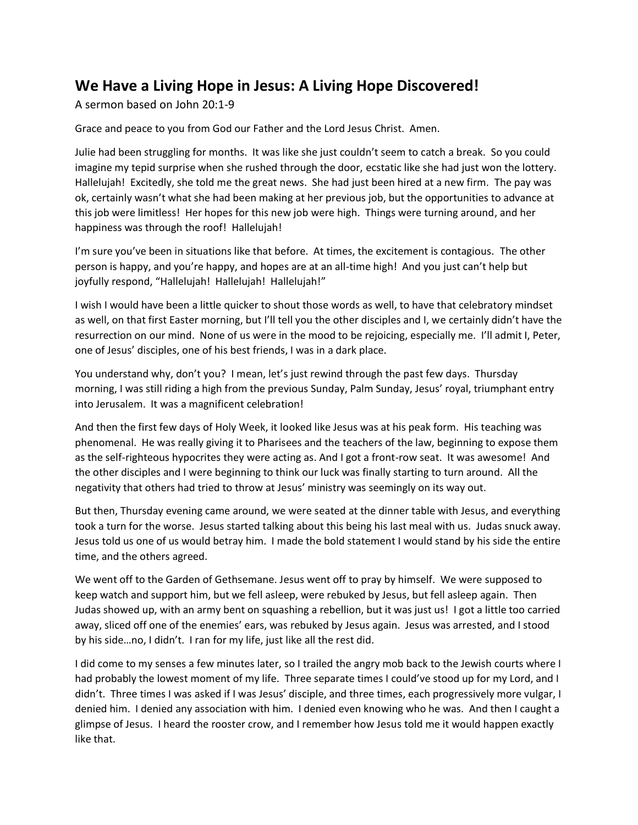## **We Have a Living Hope in Jesus: A Living Hope Discovered!**

A sermon based on John 20:1-9

Grace and peace to you from God our Father and the Lord Jesus Christ. Amen.

Julie had been struggling for months. It was like she just couldn't seem to catch a break. So you could imagine my tepid surprise when she rushed through the door, ecstatic like she had just won the lottery. Hallelujah! Excitedly, she told me the great news. She had just been hired at a new firm. The pay was ok, certainly wasn't what she had been making at her previous job, but the opportunities to advance at this job were limitless! Her hopes for this new job were high. Things were turning around, and her happiness was through the roof! Hallelujah!

I'm sure you've been in situations like that before. At times, the excitement is contagious. The other person is happy, and you're happy, and hopes are at an all-time high! And you just can't help but joyfully respond, "Hallelujah! Hallelujah! Hallelujah!"

I wish I would have been a little quicker to shout those words as well, to have that celebratory mindset as well, on that first Easter morning, but I'll tell you the other disciples and I, we certainly didn't have the resurrection on our mind. None of us were in the mood to be rejoicing, especially me. I'll admit I, Peter, one of Jesus' disciples, one of his best friends, I was in a dark place.

You understand why, don't you? I mean, let's just rewind through the past few days. Thursday morning, I was still riding a high from the previous Sunday, Palm Sunday, Jesus' royal, triumphant entry into Jerusalem. It was a magnificent celebration!

And then the first few days of Holy Week, it looked like Jesus was at his peak form. His teaching was phenomenal. He was really giving it to Pharisees and the teachers of the law, beginning to expose them as the self-righteous hypocrites they were acting as. And I got a front-row seat. It was awesome! And the other disciples and I were beginning to think our luck was finally starting to turn around. All the negativity that others had tried to throw at Jesus' ministry was seemingly on its way out.

But then, Thursday evening came around, we were seated at the dinner table with Jesus, and everything took a turn for the worse. Jesus started talking about this being his last meal with us. Judas snuck away. Jesus told us one of us would betray him. I made the bold statement I would stand by his side the entire time, and the others agreed.

We went off to the Garden of Gethsemane. Jesus went off to pray by himself. We were supposed to keep watch and support him, but we fell asleep, were rebuked by Jesus, but fell asleep again. Then Judas showed up, with an army bent on squashing a rebellion, but it was just us! I got a little too carried away, sliced off one of the enemies' ears, was rebuked by Jesus again. Jesus was arrested, and I stood by his side…no, I didn't. I ran for my life, just like all the rest did.

I did come to my senses a few minutes later, so I trailed the angry mob back to the Jewish courts where I had probably the lowest moment of my life. Three separate times I could've stood up for my Lord, and I didn't. Three times I was asked if I was Jesus' disciple, and three times, each progressively more vulgar, I denied him. I denied any association with him. I denied even knowing who he was. And then I caught a glimpse of Jesus. I heard the rooster crow, and I remember how Jesus told me it would happen exactly like that.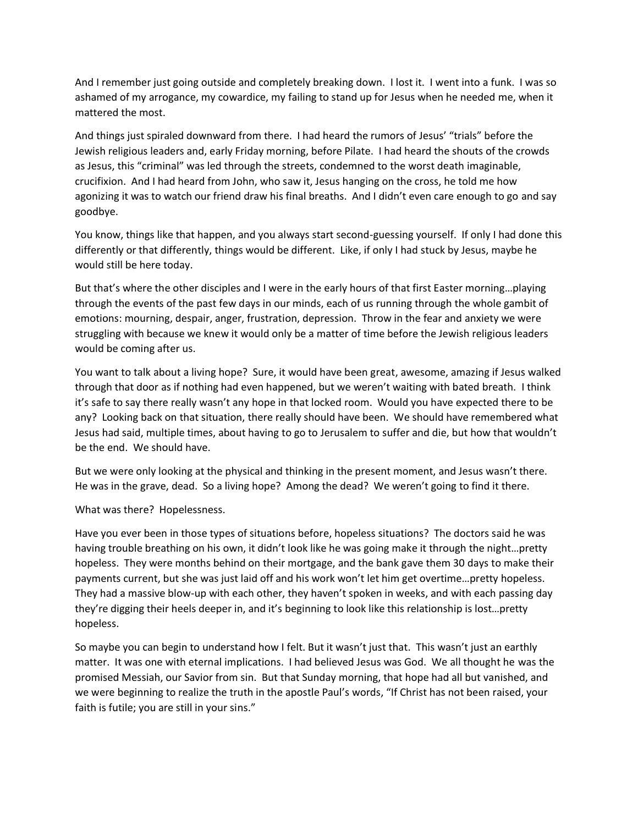And I remember just going outside and completely breaking down. I lost it. I went into a funk. I was so ashamed of my arrogance, my cowardice, my failing to stand up for Jesus when he needed me, when it mattered the most.

And things just spiraled downward from there. I had heard the rumors of Jesus' "trials" before the Jewish religious leaders and, early Friday morning, before Pilate. I had heard the shouts of the crowds as Jesus, this "criminal" was led through the streets, condemned to the worst death imaginable, crucifixion. And I had heard from John, who saw it, Jesus hanging on the cross, he told me how agonizing it was to watch our friend draw his final breaths. And I didn't even care enough to go and say goodbye.

You know, things like that happen, and you always start second-guessing yourself. If only I had done this differently or that differently, things would be different. Like, if only I had stuck by Jesus, maybe he would still be here today.

But that's where the other disciples and I were in the early hours of that first Easter morning…playing through the events of the past few days in our minds, each of us running through the whole gambit of emotions: mourning, despair, anger, frustration, depression. Throw in the fear and anxiety we were struggling with because we knew it would only be a matter of time before the Jewish religious leaders would be coming after us.

You want to talk about a living hope? Sure, it would have been great, awesome, amazing if Jesus walked through that door as if nothing had even happened, but we weren't waiting with bated breath. I think it's safe to say there really wasn't any hope in that locked room. Would you have expected there to be any? Looking back on that situation, there really should have been. We should have remembered what Jesus had said, multiple times, about having to go to Jerusalem to suffer and die, but how that wouldn't be the end. We should have.

But we were only looking at the physical and thinking in the present moment, and Jesus wasn't there. He was in the grave, dead. So a living hope? Among the dead? We weren't going to find it there.

What was there? Hopelessness.

Have you ever been in those types of situations before, hopeless situations? The doctors said he was having trouble breathing on his own, it didn't look like he was going make it through the night…pretty hopeless. They were months behind on their mortgage, and the bank gave them 30 days to make their payments current, but she was just laid off and his work won't let him get overtime…pretty hopeless. They had a massive blow-up with each other, they haven't spoken in weeks, and with each passing day they're digging their heels deeper in, and it's beginning to look like this relationship is lost…pretty hopeless.

So maybe you can begin to understand how I felt. But it wasn't just that. This wasn't just an earthly matter. It was one with eternal implications. I had believed Jesus was God. We all thought he was the promised Messiah, our Savior from sin. But that Sunday morning, that hope had all but vanished, and we were beginning to realize the truth in the apostle Paul's words, "If Christ has not been raised, your faith is futile; you are still in your sins."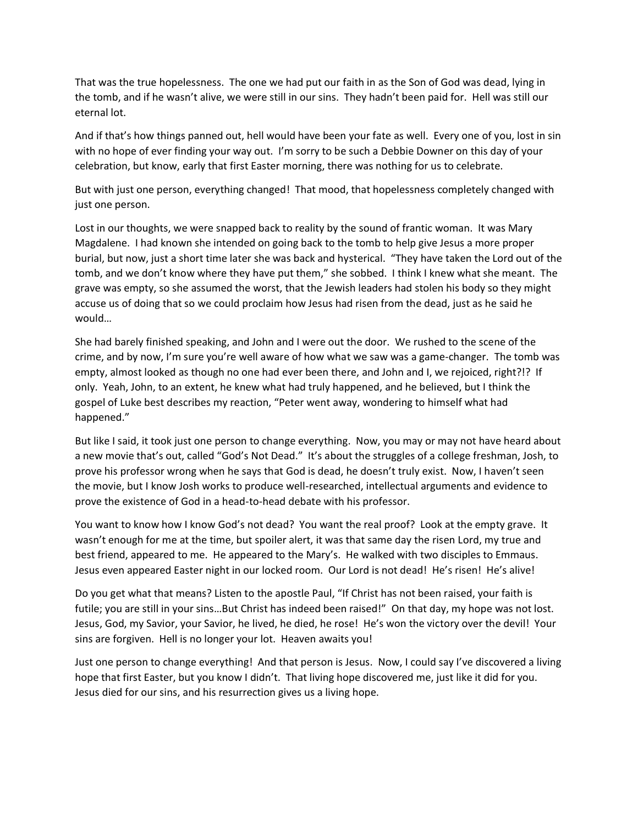That was the true hopelessness. The one we had put our faith in as the Son of God was dead, lying in the tomb, and if he wasn't alive, we were still in our sins. They hadn't been paid for. Hell was still our eternal lot.

And if that's how things panned out, hell would have been your fate as well. Every one of you, lost in sin with no hope of ever finding your way out. I'm sorry to be such a Debbie Downer on this day of your celebration, but know, early that first Easter morning, there was nothing for us to celebrate.

But with just one person, everything changed! That mood, that hopelessness completely changed with just one person.

Lost in our thoughts, we were snapped back to reality by the sound of frantic woman. It was Mary Magdalene. I had known she intended on going back to the tomb to help give Jesus a more proper burial, but now, just a short time later she was back and hysterical. "They have taken the Lord out of the tomb, and we don't know where they have put them," she sobbed. I think I knew what she meant. The grave was empty, so she assumed the worst, that the Jewish leaders had stolen his body so they might accuse us of doing that so we could proclaim how Jesus had risen from the dead, just as he said he would…

She had barely finished speaking, and John and I were out the door. We rushed to the scene of the crime, and by now, I'm sure you're well aware of how what we saw was a game-changer. The tomb was empty, almost looked as though no one had ever been there, and John and I, we rejoiced, right?!? If only. Yeah, John, to an extent, he knew what had truly happened, and he believed, but I think the gospel of Luke best describes my reaction, "Peter went away, wondering to himself what had happened."

But like I said, it took just one person to change everything. Now, you may or may not have heard about a new movie that's out, called "God's Not Dead." It's about the struggles of a college freshman, Josh, to prove his professor wrong when he says that God is dead, he doesn't truly exist. Now, I haven't seen the movie, but I know Josh works to produce well-researched, intellectual arguments and evidence to prove the existence of God in a head-to-head debate with his professor.

You want to know how I know God's not dead? You want the real proof? Look at the empty grave. It wasn't enough for me at the time, but spoiler alert, it was that same day the risen Lord, my true and best friend, appeared to me. He appeared to the Mary's. He walked with two disciples to Emmaus. Jesus even appeared Easter night in our locked room. Our Lord is not dead! He's risen! He's alive!

Do you get what that means? Listen to the apostle Paul, "If Christ has not been raised, your faith is futile; you are still in your sins…But Christ has indeed been raised!" On that day, my hope was not lost. Jesus, God, my Savior, your Savior, he lived, he died, he rose! He's won the victory over the devil! Your sins are forgiven. Hell is no longer your lot. Heaven awaits you!

Just one person to change everything! And that person is Jesus. Now, I could say I've discovered a living hope that first Easter, but you know I didn't. That living hope discovered me, just like it did for you. Jesus died for our sins, and his resurrection gives us a living hope.